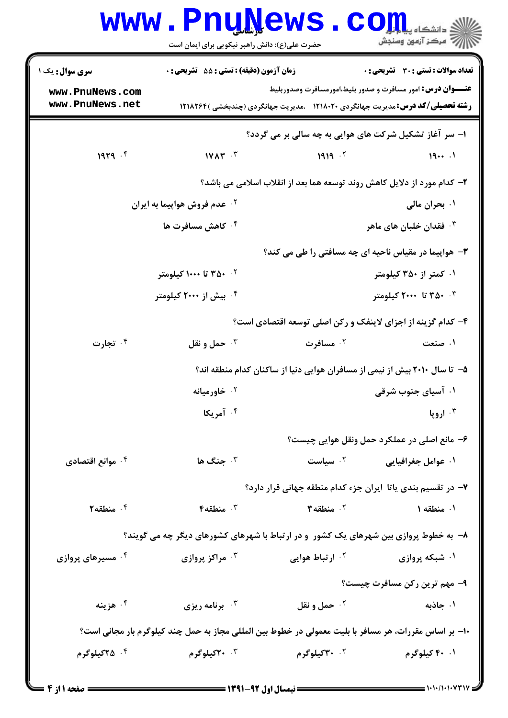|                                                                                                       | <b>www.PnuNews</b><br>حضرت علی(ع): دانش راهبر نیکویی برای ایمان است                   |                                                                                                                                                              | $\mathbf{CO}_{\mathrm{J},\mathrm{min}}$<br>أأأأ مركز آزمون وسنجش |  |  |  |
|-------------------------------------------------------------------------------------------------------|---------------------------------------------------------------------------------------|--------------------------------------------------------------------------------------------------------------------------------------------------------------|------------------------------------------------------------------|--|--|--|
| <b>سری سوال :</b> یک ۱                                                                                | <b>زمان آزمون (دقیقه) : تستی : 55 تشریحی : 0</b>                                      |                                                                                                                                                              | تعداد سوالات : تستى : 30 - تشريحي : 0                            |  |  |  |
| www.PnuNews.com<br>www.PnuNews.net                                                                    |                                                                                       | <b>عنـــوان درس:</b> امور مسافرت و صدور بلیط،امورمسافرت وصدوربلیط<br><b>رشته تحصیلی/کد درس:</b> مدیریت جهانگردی ۱۲۱۸۰۲۰ - ،مدیریت جهانگردی (چندبخشی )۱۲۱۸۲۶۴ |                                                                  |  |  |  |
|                                                                                                       | ۱– سر آغاز تشکیل شرکت های هوایی به چه سالی بر می گردد؟                                |                                                                                                                                                              |                                                                  |  |  |  |
| 1979.5                                                                                                | $1YAY - Y$                                                                            | 1919.7                                                                                                                                                       | 191                                                              |  |  |  |
|                                                                                                       |                                                                                       | ۲- کدام مورد از دلایل کاهش روند توسعه هما بعد از انقلاب اسلامی می باشد؟                                                                                      |                                                                  |  |  |  |
|                                                                                                       | <sup>۲</sup> ۰ عدم فروش هواپیما به ایران                                              |                                                                                                                                                              | ۰۱ بحران مالی                                                    |  |  |  |
|                                                                                                       | ۰۴ کاهش مسافرت ها                                                                     |                                                                                                                                                              | شان خلبان های ماهر $\cdot$                                       |  |  |  |
|                                                                                                       | <b>۳</b> - هواپیما در مقیاس ناحیه ای چه مسافتی را طی می کند؟                          |                                                                                                                                                              |                                                                  |  |  |  |
|                                                                                                       | ۰۲ ۲۵۰ تا ۱۰۰۰ کیلومتر                                                                |                                                                                                                                                              | ۰۱ کمتر از ۳۵۰ کیلومتر                                           |  |  |  |
|                                                                                                       | ۰ <sup>۴</sup> بیش از ۲۰۰۰ کیلومتر                                                    |                                                                                                                                                              | ۴- ۳۵۰ تا ۲۰۰۰ کیلومتر                                           |  |  |  |
| ۴– کدام گزینه از اجزای لاینفک و رکن اصلی توسعه اقتصادی است؟                                           |                                                                                       |                                                                                                                                                              |                                                                  |  |  |  |
| ۰۴ تجارت                                                                                              | حمل و نقل $\cdot$ $^{\circ}$                                                          | ۰ <sup>۲</sup> مسافرت                                                                                                                                        | ۰۱ صنعت                                                          |  |  |  |
|                                                                                                       |                                                                                       | ۵– تا سال ۲۰۱۰ بیش از نیمی از مسافران هوایی دنیا از ساکنان کدام منطقه اند؟                                                                                   |                                                                  |  |  |  |
|                                                                                                       | ۰ <sup>۲</sup> خاورمیانه                                                              |                                                                                                                                                              | ۰۱ آسیای جنوب شرقی                                               |  |  |  |
|                                                                                                       | ۰۴ آمریکا                                                                             |                                                                                                                                                              | ۰۳ اروپا                                                         |  |  |  |
|                                                                                                       |                                                                                       |                                                                                                                                                              | ۶- مانع اصلي در عملکرد حمل ونقل هوايي چيست؟                      |  |  |  |
| ۰۴ موانع اقتصادی                                                                                      | ب جنگ ها $\cdot$                                                                      | ۰۲ سیاست                                                                                                                                                     | ۰۱ عوامل جغرافیایی                                               |  |  |  |
|                                                                                                       |                                                                                       | ۷– در تقسیم بندی یاتا ایران جزء کدام منطقه جهانی قرار دارد؟                                                                                                  |                                                                  |  |  |  |
| ۰۴ منطقه ۲                                                                                            | ب منطقه ۴ $\cdot$                                                                     | سنطقه ۲ $\cdot$ ۲ $\cdot$                                                                                                                                    | ۰۱ منطقه ۱                                                       |  |  |  |
|                                                                                                       | ۸– به خطوط پروازی بین شهرهای یک کشور ًو در ارتباط با شهرهای کشورهای دیگر چه می گویند؟ |                                                                                                                                                              |                                                                  |  |  |  |
| ۰ <sup>۴</sup> مسیرهای پروازی                                                                         | ۰۳ مراکز پروازی                                                                       | ۰ <sup>۲</sup> ارتباط هوایی                                                                                                                                  | ۰۱ شبکه پروازی                                                   |  |  |  |
|                                                                                                       |                                                                                       |                                                                                                                                                              | ۹- مهم ترین رکن مسافرت چیست؟                                     |  |  |  |
| ۰۴ هزينه                                                                                              | ۰۳ برنامه ریزی                                                                        | <b>10 حمل و نقل</b>                                                                                                                                          | ۰۱ جاذبه                                                         |  |  |  |
| ∙ا− بر اساس مقررات، هر مسافر با بلیت معمولی در خطوط بین المللی مجاز به حمل چند کیلوگرم بار مجانی است؟ |                                                                                       |                                                                                                                                                              |                                                                  |  |  |  |
| ۰۴ <b>۲۵کیلوگرم</b>                                                                                   | ۲۰ ۲۰کیلوگرم                                                                          | ۰ <sup>۲</sup> ۳۰کیلوگرم                                                                                                                                     | ۰۱ ۴۰ کیلوگرم                                                    |  |  |  |
|                                                                                                       |                                                                                       |                                                                                                                                                              |                                                                  |  |  |  |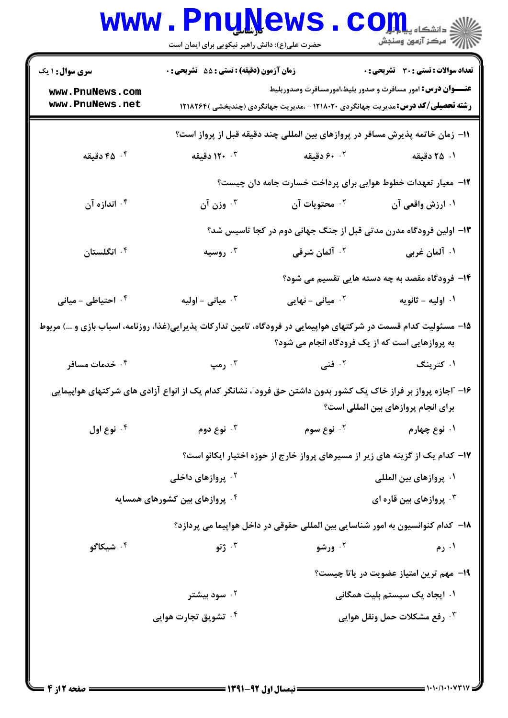|                                                                                                                                                                     | <b>U.L.Y.</b><br>حضرت علی(ع): دانش راهبر نیکویی برای ایمان است    |                                                                                                                                                              | د دانشکاه پ <b>یا با تا<mark>ر</mark></b><br>رِ که مرڪز آزمون وسنڊش |  |  |
|---------------------------------------------------------------------------------------------------------------------------------------------------------------------|-------------------------------------------------------------------|--------------------------------------------------------------------------------------------------------------------------------------------------------------|---------------------------------------------------------------------|--|--|
| <b>سری سوال : ۱ یک</b>                                                                                                                                              | <b>زمان آزمون (دقیقه) : تستی : 55 تشریحی : 0</b>                  |                                                                                                                                                              | <b>تعداد سوالات : تستی : 30 ٪ تشریحی : 0</b>                        |  |  |
| www.PnuNews.com<br>www.PnuNews.net                                                                                                                                  |                                                                   | <b>عنـــوان درس:</b> امور مسافرت و صدور بلیط،امورمسافرت وصدوربلیط<br><b>رشته تحصیلی/کد درس:</b> مدیریت جهانگردی ۱۲۱۸۰۲۰ - ،مدیریت جهانگردی (چندبخشی )۱۲۱۸۲۶۴ |                                                                     |  |  |
| 11- زمان خاتمه پذیرش مسافر در پروازهای بین المللی چند دقیقه قبل از پرواز است؟                                                                                       |                                                                   |                                                                                                                                                              |                                                                     |  |  |
| ا دقیقه $\cdot$ ۴ $\cdot$                                                                                                                                           | <b>۱۲۰</b> ۰۳ دقیقه                                               | ۰۲ ۶۰ دقیقه                                                                                                                                                  | ۰۱ ۲۵ دقیقه                                                         |  |  |
|                                                                                                                                                                     |                                                                   | ۱۲– معیار تعهدات خطوط هوایی برای پرداخت خسارت جامه دان چیست؟                                                                                                 |                                                                     |  |  |
| ۰۴ اندازه آن                                                                                                                                                        | وزن آن $\cdot$                                                    | ۰ <sup>۲</sup> محتویات آن                                                                                                                                    | ۰۱ ارزش واقعی آن                                                    |  |  |
|                                                                                                                                                                     | ۱۳- اولین فرودگاه مدرن مدتی قبل از جنگ جهانی دوم در کجا تاسیس شد؟ |                                                                                                                                                              |                                                                     |  |  |
| ۰۴ انگلستان                                                                                                                                                         | روسیه $\cdot^{\mathsf{r}}$                                        | <sup>۲</sup> ۰ آلمان شرقی                                                                                                                                    | ۰۱ آلمان غربی                                                       |  |  |
|                                                                                                                                                                     |                                                                   |                                                                                                                                                              | ۱۴- فرودگاه مقصد به چه دسته هایی تقسیم می شود؟                      |  |  |
| ۰۴ احتیاطی - میانی                                                                                                                                                  | میانی - اولیه $\cdot$                                             | میانی – نهایی $^{\prime}$                                                                                                                                    | ۰۱ اوليه - ثانويه                                                   |  |  |
| ۱۵– مسئولیت کدام قسمت در شرکتهای هواپیمایی در فرودگاه، تامین تدارکات پذیرایی(غذا، روزنامه، اسباب بازی و …) مربوط<br>به پروازهایی است که از یک فرودگاه انجام می شود؟ |                                                                   |                                                                                                                                                              |                                                                     |  |  |
| ۰۴ خدمات مسافر                                                                                                                                                      | ۰۳ رمپ                                                            | <sup>۲.</sup> فنی                                                                                                                                            | ۰۱ کترینگ                                                           |  |  |
| ۱۶– "اجازه پرواز بر فراز خاک یک کشور بدون داشتن حق فرود"، نشانگر کدام یک از انواع آزادی های شرکتهای هواپیمایی<br>برای انجام پروازهای بین المللی است؟                |                                                                   |                                                                                                                                                              |                                                                     |  |  |
| نوع اول $\cdot$ $^{\circ}$                                                                                                                                          | نوع دوم $\cdot^{\mathtt{w}}$                                      | ۰ <sup>۲</sup> نوع سوم                                                                                                                                       | ۰۱ نوع چهارم                                                        |  |  |
|                                                                                                                                                                     |                                                                   | ۱۷– کدام یک از گزینه های زیر از مسیرهای پرواز خارج از حوزه اختیار ایکائو است؟                                                                                |                                                                     |  |  |
|                                                                                                                                                                     | <sup>۲ .</sup> پروازهای داخلی                                     | ۰۱ پروازهای بین الملل <u>ی</u>                                                                                                                               |                                                                     |  |  |
| ۰۴ پروازهای بین کشورهای همسایه                                                                                                                                      |                                                                   | بروازهای بین قاره ای $\cdot^{\mathsf{\tiny{\sf F}}}$                                                                                                         |                                                                     |  |  |
|                                                                                                                                                                     |                                                                   | ۱۸– کدام کنوانسیون به امور شناسایی بین المللی حقوقی در داخل هواپیما می پردازد؟                                                                               |                                                                     |  |  |
| ۰ <sup>۴</sup> شیکاگو                                                                                                                                               | ۰۳ ژنو                                                            | ۰ <sup>۲</sup> ورشو                                                                                                                                          | ۰۱ رم                                                               |  |  |
|                                                                                                                                                                     |                                                                   |                                                                                                                                                              | ۱۹- مهم ترین امتیاز عضویت در یاتا چیست؟                             |  |  |
|                                                                                                                                                                     | ۰۲ سود بیشتر                                                      |                                                                                                                                                              | ۰۱ ایجاد یک سیستم بلیت همگانی                                       |  |  |
|                                                                                                                                                                     | ۰ <sup>۴</sup> تشویق تجارت هوایی                                  |                                                                                                                                                              | ۰ <sup>۳</sup> رفع مشکلات حمل ونقل هوایی                            |  |  |
|                                                                                                                                                                     |                                                                   |                                                                                                                                                              |                                                                     |  |  |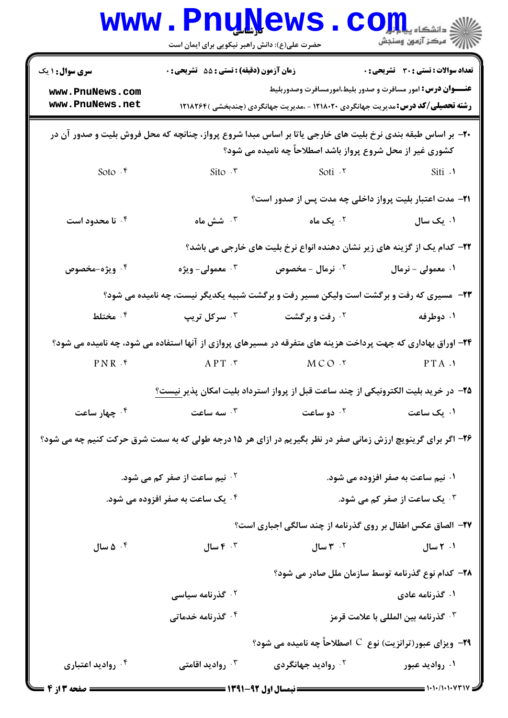|                                                                                                             | <b>www.PnuNews</b><br>حضرت علی(ع): دانش راهبر نیکویی برای ایمان است                     |                                                                                                                                                              | $\mathbf{C}\mathbf{O}\mathbf{H}$ :<br>// مرکز آزمون وسنجش |  |  |
|-------------------------------------------------------------------------------------------------------------|-----------------------------------------------------------------------------------------|--------------------------------------------------------------------------------------------------------------------------------------------------------------|-----------------------------------------------------------|--|--|
| <b>سری سوال : ۱ یک</b>                                                                                      | زمان آزمون (دقیقه) : تستی : 55 گشریحی : 0                                               |                                                                                                                                                              | تعداد سوالات : تستى : 30 - تشريحي : 0                     |  |  |
| www.PnuNews.com<br>www.PnuNews.net                                                                          |                                                                                         | <b>عنـــوان درس:</b> امور مسافرت و صدور بلیط،امورمسافرت وصدوربلیط<br><b>رشته تحصیلی/کد درس:</b> مدیریت جهانگردی ۱۲۱۸۰۲۰ - ،مدیریت جهانگردی (چندبخشی )۱۲۱۸۲۶۴ |                                                           |  |  |
| +۲- بر اساس طبقه بندی نرخ بلیت های خارجی یاتا بر اساس مبدا شروع پرواز، چنانچه که محل فروش بلیت و صدور آن در |                                                                                         |                                                                                                                                                              |                                                           |  |  |
|                                                                                                             |                                                                                         | کشوری غیر از محل شروع پرواز باشد اصطلاحاً چه نامیده می شود؟                                                                                                  |                                                           |  |  |
| Soto .۴                                                                                                     | Sito $\cdot$ $\cdot$                                                                    | Soti .r                                                                                                                                                      | Siti .                                                    |  |  |
|                                                                                                             |                                                                                         | <b>۲۱</b> – مدت اعتبار بلیت پرواز داخلی چه مدت پس از صدور است؟                                                                                               |                                                           |  |  |
| ۰۴ نا محدود است                                                                                             | ۰ <sup>۳</sup> شش ماه                                                                   | ۰ <sup>۲</sup> یک ماه                                                                                                                                        | ۰۱ یک سال                                                 |  |  |
|                                                                                                             |                                                                                         | <b>۲۲</b> – کدام یک از گزینه های زیر نشان دهنده انواع نرخ بلیت های خارجی می باشد؟                                                                            |                                                           |  |  |
| ۰۴ ویژه-مخصوص                                                                                               | ۰۳ معمولی- ویژه                                                                         | ۰ <sup>۲</sup> نرمال - مخصوص                                                                                                                                 | ۰۱ معمولی - نرمال                                         |  |  |
|                                                                                                             | ۲۳- مسیری که رفت و برگشت است ولیکن مسیر رفت و برگشت شبیه یکدیگر نیست، چه نامیده می شود؟ |                                                                                                                                                              |                                                           |  |  |
| ۰۴ مختلط                                                                                                    | ۰ <sup>۳ .</sup> سرکل تریپ                                                              | <b>۰۲ رفت و برگشت</b>                                                                                                                                        | ۰۱ دوطرفه                                                 |  |  |
|                                                                                                             |                                                                                         | ۲۴- اوراق بهاداری که جهت پرداخت هزینه های متفرقه در مسیرهای پروازی از آنها استفاده می شود، چه نامیده می شود؟                                                 |                                                           |  |  |
| $PNR$ . $f$                                                                                                 | $APT \cdot r$                                                                           | MCO .Y                                                                                                                                                       | PTA.                                                      |  |  |
|                                                                                                             |                                                                                         | <b>۲۵</b> – در خرید بلیت الکترونیکی از چند ساعت قبل از پرواز استرداد بلیت امکان پذیر <u>نیست؟</u>                                                            |                                                           |  |  |
| ۰ <sup>۴</sup> چهار ساعت                                                                                    | سه ساعت $\cdot$ "                                                                       | ۰ <sup>۲</sup> دو ساعت                                                                                                                                       | ۰۱ یک ساعت                                                |  |  |
|                                                                                                             |                                                                                         | ۲۶- اگر برای گرینویچ ارزش زمانی صفر در نظر بگیریم در ازای هر ۱۵ درجه طولی که به سمت شرق حرکت کنیم چه می شود؟                                                 |                                                           |  |  |
|                                                                                                             | ۰۱ نیم ساعت به صفر افزوده می شود.<br><b>گ نیم ساعت از صفر کم می شود.</b>                |                                                                                                                                                              |                                                           |  |  |
|                                                                                                             | ۰۴ یک ساعت به صفر افزوده می شود.                                                        | <b>4 . یک ساعت از صفر کم می شود.</b>                                                                                                                         |                                                           |  |  |
|                                                                                                             |                                                                                         | ۲۷- الصاق عکس اطفال بر روی گذرنامه از چند سالگی اجباری است؟                                                                                                  |                                                           |  |  |
| ۰۴ ه سال                                                                                                    | سال $\mathfrak{r}$ . $\mathfrak{r}$                                                     | ۳ $\cdot$ ۳ سال $\cdot$                                                                                                                                      | ۰۱ ۲ سال                                                  |  |  |
|                                                                                                             |                                                                                         |                                                                                                                                                              | ۲۸– کدام نوع گذرنامه توسط سازمان ملل صادر می شود؟         |  |  |
|                                                                                                             | ۰۲ گذرنامه سیاسی                                                                        |                                                                                                                                                              | ۱. گذرنامه عادی                                           |  |  |
|                                                                                                             | ۰۴ گذرنامه خدماتی                                                                       |                                                                                                                                                              | ۰۳ گذرنامه بین المللی با علامت قرمز                       |  |  |
|                                                                                                             |                                                                                         | <b>۲۹</b> - ویزای عبور(ترانزیت) نوع C اصطلاحاً چه نامیده می شود؟                                                                                             |                                                           |  |  |
| ۰۴ روادید اعتباری                                                                                           | روادید اقامتی $\cdot^{\mathsf{y}}$                                                      | ۰ <sup>۲</sup> روادید جهانگردی                                                                                                                               | ۰۱ روادید عبور                                            |  |  |
| <b>: صفحه 3 از</b>                                                                                          |                                                                                         |                                                                                                                                                              | $\equiv$ ۱۰۱۰/۱۰۱۰۷۳۱۱                                    |  |  |